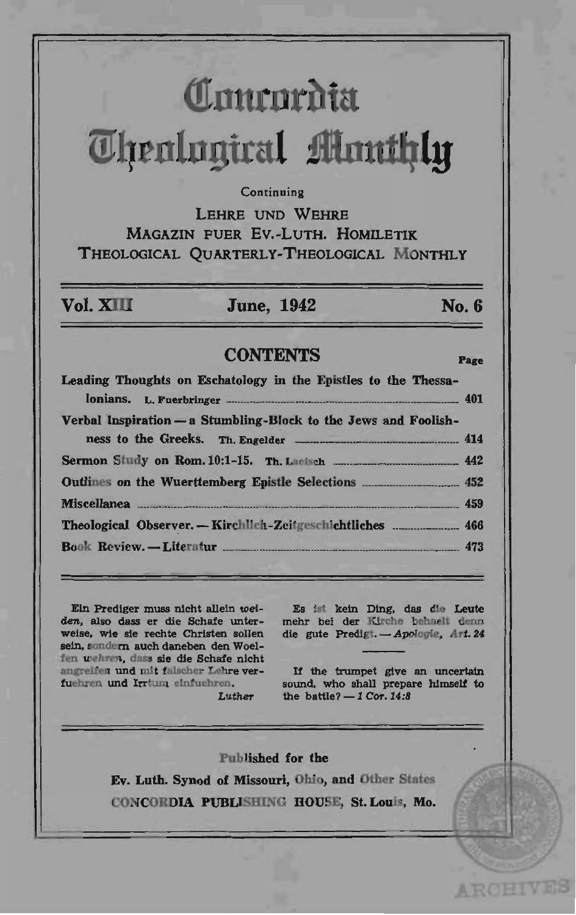# **(!tnurnrbta**   $I$ **U**lrenlngiral *flumthly*

### Continuing

LEHRE UND WEHRE MAGAZIN FUER Ev.-LuTH. HOMILETIK THEOLOGICAL OUARTERLY-THEOLOGICAL MONTHLY

### Vol. XIII June, 1942 No. 6

**ARCHIVES** 

### CONTENTS Page

| Leading Thoughts on Eschatology in the Epistles to the Thessa-  |  |
|-----------------------------------------------------------------|--|
| Verbal Inspiration - a Stumbling-Block to the Jews and Foolish- |  |
|                                                                 |  |
|                                                                 |  |
|                                                                 |  |
| Theological Observer. - Kirchlich-Zeitgeschichtliches  466      |  |
|                                                                 |  |

Ein Prediger muss nieht aIlein *wei*den, also dass er die Sehafe unterweise, wie sie reehte Christen sollen sein, sondern auch daneben den Woelfen wehren, dass sie die Schafe nicht angreifen und mit falscher Lehre vertuebren und Irrtwn einfuehren. Luther

Es ist kein Ding, das die Leute mehr bei der Kirche behaelt denn die gute Predigt. - Apologie, Art. 24

If the trumpet give an uneertain sound, who shall prepare himself to the battle?  $-1$  Cor. 14:8

Published for the Ev. Luth. Synod of Missouri, Ohio, and Other States CONCOROIA PUBLlSBINC HOUSE, St. Louis, Mo.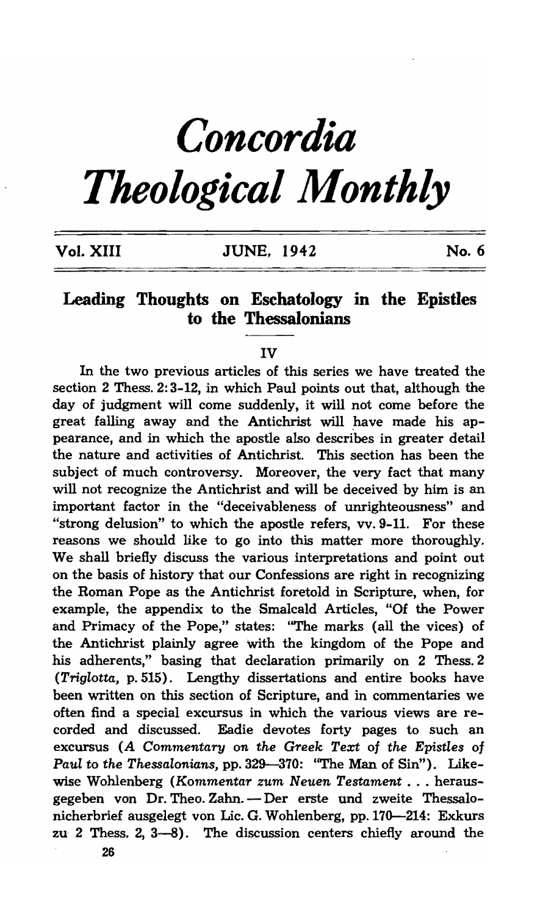## *Concordia*

## *Theological Monthly*

| Vol. XIII | <b>JUNE, 1942</b> | No. 6 |
|-----------|-------------------|-------|
|           |                   |       |

### Leading Thoughts on Eschatology in the Epistles to the Thessalonians

#### IV

In the two previous articles of this series we have treated the section 2 Thess. 2: 3-12, in which Paul points out that, although the day of judgment will come suddenly, it will not come before the great falling away and the Antichrist will have made his appearance, and in which the apostle also describes in greater detail the nature and activities of Antichrist. This section has been the subject of much controversy. Moreover, the very fact that many will not recognize the Antichrist and will be deceived by him is an important factor in the "deceivableness of unrighteousness" and "strong delusion" to which the apostle refers, vv.9-11. For these reasons we should like to go into this matter more thoroughly. We shall briefly discuss the various interpretations and point out on the basis of history that our Confessions are right in recognizing the Roman Pope as the Antichrist foretold in Scripture, when, for example, the appendix to the Smalcald Articles, "Of the Power and Primacy of the Pope," states: "The marks (all the vices) of the Antichrist plainly agree with the kingdom of the Pope and his adherents," basing that declaration primarily on 2 Thess. 2 *(Triglotta,* p. 515). Lengthy dissertations and entire books have been written on this section of Scripture, and in commentaries we often find a special excursus in which the various views are recorded and discussed. Eadie devotes forty pages to such an excursus *(A Commentary on the Greek Text* of *the Epistles* of *Paul* to *the Thessalonians,* pp. 329-370: ''The Man of Sin"). Likewise Wohlenberg *(Kommentar zum Neuen Testament .* .. herausgegeben von Dr. Theo. Zahn. - Der erste und zweite Thessalonicherbrief ausgelegt von Lic. G. Wohlenberg, pp.170-214: Exkurs zu 2 Thess. 2, 3-8). The discussion centers chiefly around the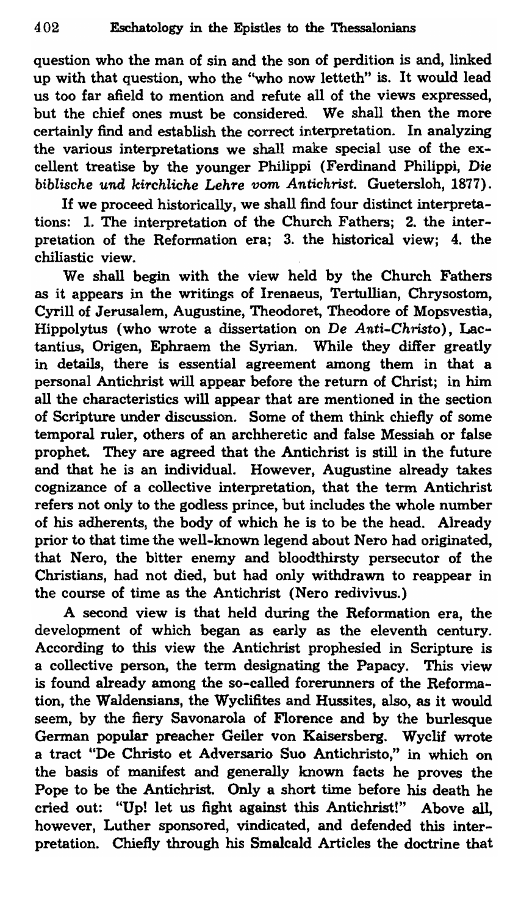question who the man of sin and the son of perdition is and, linked up with that question, who the "who now letteth" is. It would lead us too far afield to mention and refute all of the views expressed, but the chief ones must be considered. We shall then the more certainly find and establish the correct interpretation. In analyzing the various interpretations we shall make special use of the excellent treatise by the younger Philippi (Ferdinand Philippi, *Die biblische* und *ki'1'chliche Leh'1'e vom Antichrist.* Guetersloh, 1877).

If we proceed historically, we shall find four distinct interpretations: 1. The interpretation of the Church Fathers; 2. the interpretation of the Reformation era; 3. the historical view; 4. the chiliastic view.

We shall begin with the view held by the Church Fathers as it appears in the writings of Irenaeus, Tertullian, Chrysostom, Cyrill of Jerusalem, Augustine, Theodoret, Theodore of Mopsvestia, Hippolytus (who wrote a dissertation on De *Anti-Christo),* Lactantius, Origen, Ephraem the Syrian. While they differ greatly in details, there is essential agreement among them in that a personal Antichrist will appear before the return of Christ; in him all the characteristics will appear that are mentioned in the section of Scripture under discussion. Some of them think chiefly of some temporal ruler, others of an archheretic and false Messiah or false prophet. They are agreed that the Antichrist is still in the future and that he is an individual. However, Augustine already takes cognizance of a collective interpretation, that the term Antichrist refers not only to the godless prince, but includes the whole number of his adherents, the body of which he is to be the head. Already prior to that time the well-known legend about Nero had originated, that Nero, the bitter enemy and bloodthirsty persecutor of the Christians, had not died, but had only withdrawn to reappear in the course of time as the Antichrist (Nero redivivus.)

A second view is that held during the Reformation era, the development of which began as early as the eleventh century. According to this view the Antichrist prophesied in Scripture is a collective person, the term designating the PapacY. This view is found already among the so-called forerunners of the Reformation, the Waldensians, the Wyclifites and Hussites, also, as it would seem, by the fiery Savonarola of Florence and by the burlesque German popular preacher Geiler von Kaisersberg. Wyclif wrote a tract "De Christo et Adversario Suo Antichristo," in which on the basis of manifest and generally known facts he proves the Pope to be the Antichrist. Only a short time before his death he cried out: "Up! let us fight against this Antichrist!" Above all, however, Luther sponsored, vindicated, and defended this interpretation. Chiefly through his Smalcald Articles the doctrine that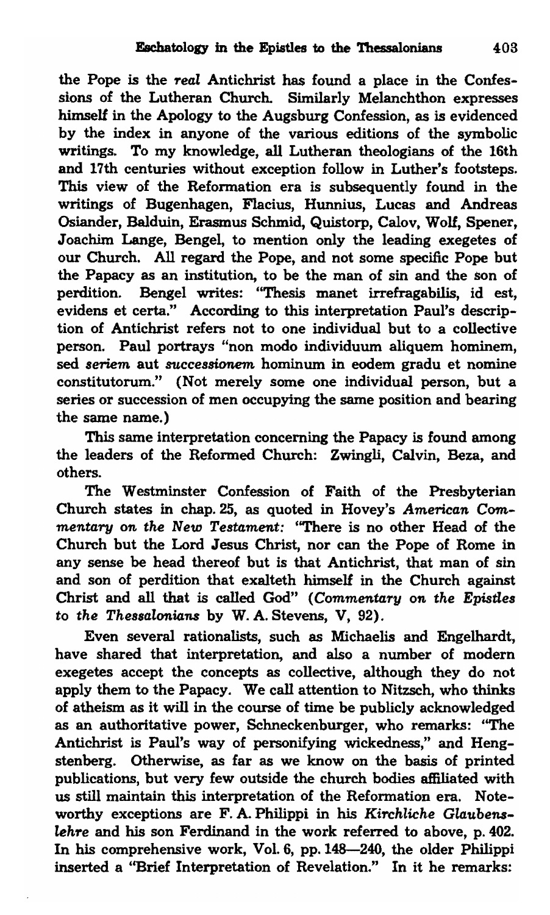the Pope is the *7'eal* Antichrist has found a place in the Confessions of the Lutheran Church. Similarly Melanchthon expresses himself in the Apology to the Augsburg Confession, as is evidenced by the index in anyone of the various editions of the symbolic writings. To my knowledge, all Lutheran theologians of the 16th and 17th centuries without exception follow in Luther's footsteps. This view of the Reformation era is subsequently found in the writings of Bugenhagen, Flacius, Hunnius, Lucas and Andreas Osiander, Balduin, Erasmus Schmid, Quistorp, Calov, Wolf, Spener, Joachim Lange, Bengel, to mention only the leading exegetes of our Church. All regard the Pope, and not some specific Pope but the Papacy as an institution, to be the man of sin and the son of perdition. Bengel writes: "Thesis manet irrefragabilis, id est, evidens et certa." According to this interpretation Paul's description of Antichrist refers not to one individual but to a collective person. Paul portrays "non modo individuum aliquem hominem, sed *seriem* aut *8'Uccessionem* hominum in eodem gradu et nomine constitutorum." (Not merely some one individual person, but a series or succession of men occupying the same position and bearing the same name.)

This same interpretation concerning the Papacy is found among the leaders of the Reformed Church: Zwingli, Calvin, Beza, and others.

The Westminster Confession of Faith of the Presbyterian Church states in chap. 25, as quoted in Hovey's *American* Com*mentary on the New Testament:* ''There is no other Head of the Church but the Lord Jesus Christ, nor can the Pope of Rome in any sense be head thereof but is that Antichrist, that man of sin and son of perdition that exalteth himself in the Church against Christ and all that is called God" *(Commentary on the Epistles* to *the Thessalonians* by W. A. Stevens, V, 92).

Even several rationalists, such as Michaelis and Engelhardt, have shared that interpretation, and also a number of modern exegetes accept the concepts as collective, although they do not apply them to the Papacy. We call attention to Nitzsch, who thinks of atheism as it will in the course of time be publicly acknowledged as an authoritative power, Schneckenburger, who remarks: ''The Antichrist is Paul's way of personifying wickedness," and Hengstenberg. Otherwise, as far as we know on the basis of printed publications, but very few outside the church bodies affiliated with us still maintain this interpretation of the Reformation era. Noteworthy exceptions are F.A. Philippi in his *Kirchliche Glaubens*lehre and his son Ferdinand in the work referred to above, p. 402. In his comprehensive work, Vol. 6, pp. 148-240, the older Philippi inserted a "Brief Interpretation of Revelation." In it he remarks: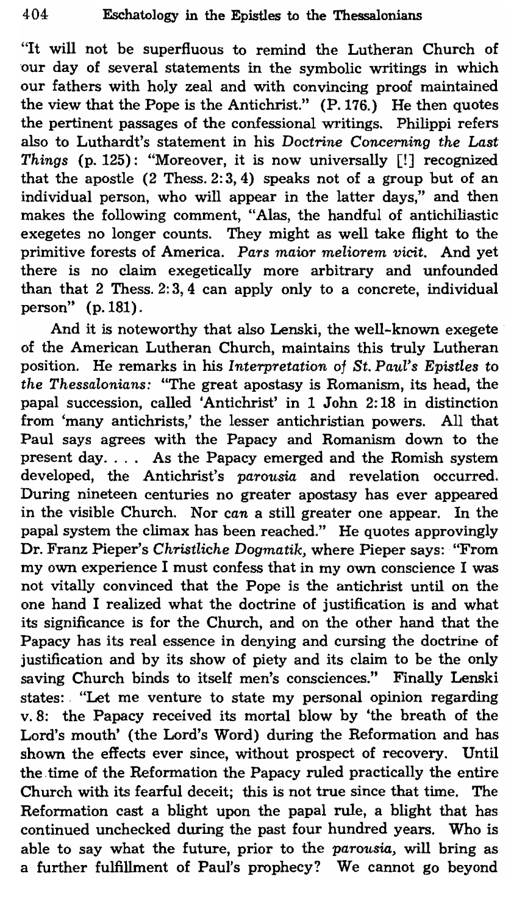"It will not be superfluous to remind the Lutheran Church of our day of several statements in the symbolic writings in which our fathers with holy zeal and with convincing proof maintained the view that the Pope is the Antichrist." (P.176.) He then quotes the pertinent passages of the confessional writings. Philippi refers also to Luthardt's statement in his Doctrine *Concerning the Last Things* (p. 125): "Moreover, it is now universally [!] recognized that the apostle (2 Thess. 2: 3,4) speaks not of a group but of an individual person, who will appear in the latter days," and then makes the following comment, "Alas, the handful of antichiliastic exegetes no longer counts. They might as well take flight to the primitive forests of America. Pars maior meliorem vicit. And yet there is no claim exegetically more arbitrary and unfounded than that 2 Thess. 2: 3, 4 can apply only to a concrete, individual person" (p.181).

And it is noteworthy that also Lenski, the well-known exegete of the American Lutheran Church, maintains this truly Lutheran pOSition. He remarks in his *Interpretation* of *St. Paul's Epistles* to *the Thessalonians:* "The great apostasy is Romanism, its head, the papal succession, called 'Antichrist' in 1 John 2: 18 in distinction from 'many antichrists,' the lesser antichristian powers. All that Paul says agrees with the Papacy and Romanism down to the present day. . .. As the Papacy emerged and the Romish system developed, the Antichrist's *parousia* and revelation occurred. During nineteen centuries no greater apostasy has ever appeared in the visible Church. Nor *can* a still greater one appear. In the papal system the climax has been reached." He quotes approvingly Dr. Franz Pieper's *Christliche Dogmatik,* where Pieper says: "From my own experience I must confess that in my own conscience I was not vitally convinced that the Pope is the antichrist until on the one hand I realized what the doctrine of justification is and what its significance is for the Church, and on the other hand that the Papacy has its real essence in denying and cursing the doctrine of justification and by its show of piety and its claim to be the only saving Church binds to itself men's consciences." Finally Lenski states: "Let me venture to state my personal opinion regarding v.8: the Papacy received its mortal blow by 'the breath of the Lord's mouth' (the Lord's Word) during the Reformation and has shown the effects ever since, without prospect of recovery. Until the time of the Reformation the Papacy ruled practically the entire Church with its fearful deceit; this is not true since that time. The Reformation cast a blight upon the papal rule, a blight that has continued unchecked during the past four hundred years. Who is able to say what the future, prior to the *parousia,* will bring as a further fulfillment of Paul's prophecy? We cannot go beyond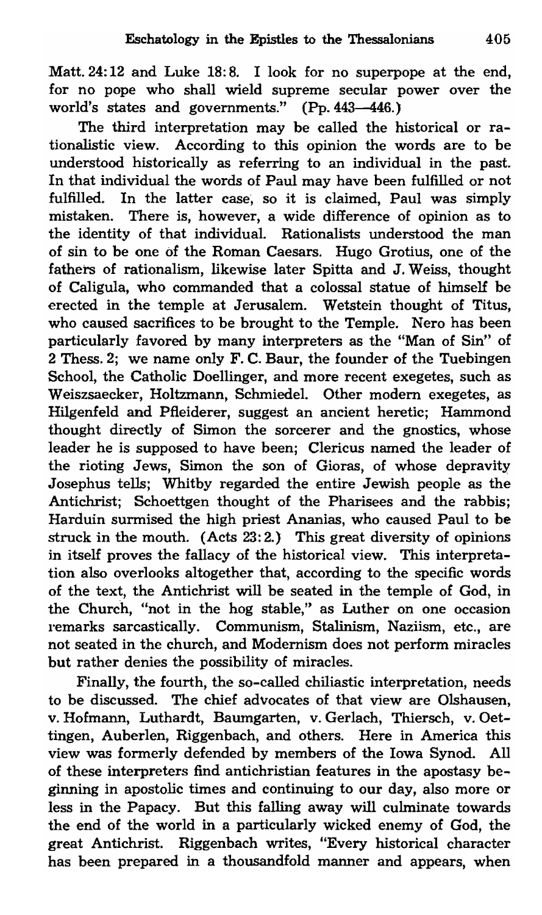Matt. 24: 12 and Luke 18: 8. I look for no superpope at the end, for no pope who shall wield supreme secular power over the world's states and governments." (Pp. 443-446.)

The third interpretation may be called the historical or rationalistic view. According to this opinion the words are to be understood historically as referring to an individual in the past. In that individual the words of Paul may have been fulfilled or not fulfilled. In the latter case, so it is claimed, Paul was simply mistaken. There is, however, a wide difference of opinion as to the identity of that individual. Rationalists understood the man of sin to be one of the Roman Caesars. Hugo Grotius, one of the fathers of rationalism, likewise later Spitta and J. Weiss, thought of Caligula, who commanded that a colossal statue of himself be erected in the temple at Jerusalem. Wetstein thought of Titus, who caused sacrifices to be brought to the Temple. Nero has been particularly favored by many interpreters as the "Man of Sin" of 2 Thess. 2; we name only F. C. Baur, the founder of the Tuebingen School, the Catholic Doellinger, and more recent exegetes, such as Weiszsaecker, Holtzmann, Schmiedel. Other modern exegetes, as Hilgenfeld and Pfleiderer, suggest an ancient heretic; Hammond thought directly of Simon the sorcerer and the gnostics, whose leader he is supposed to have been; Clericus named the leader of the rioting Jews, Simon the son of Gioras, of whose depravity Josephus tells; Whitby regarded the entire Jewish people as the Antichrist; Schoettgen thought of the Pharisees and the rabbis; Harduin surmised the high priest Ananias, who caused Paul to be struck in the mouth. (Acts 23:2.) This great diversity of opinions in itself proves the fallacy of the historical view. This interpretation also overlooks altogether that, according to the specific words of the text, the Antichrist will be seated in the temple of God, in the Church, "not in the hog stable," as Luther on one occasion remarks sarcastically. Communism, Stalinism, Naziism, etc., are not seated in the church, and Modernism does not perform miracles but rather denies the possibility of miracles.

Finally, the fourth, the so-called chiliastic interpretation, needs to be discussed. The chief advocates of that view are Olshausen, v. Hofmann, Luthardt, Baumgarten, v. Gerlach, Thiersch, v.Oettingen, Auberlen, Riggenbach, and others. Here in America this view was formerly defended by members of the Iowa Synod. All of these interpreters find antichristian features in the apostasy beginning in apostolic times and continuing to our day, also more or less in the Papacy. But this falling away will culminate towards the end of the world in a particularly wicked enemy of God, the great Antichrist. Riggenbach writes, "Every historical character has been prepared in a thousandfold manner and appears, when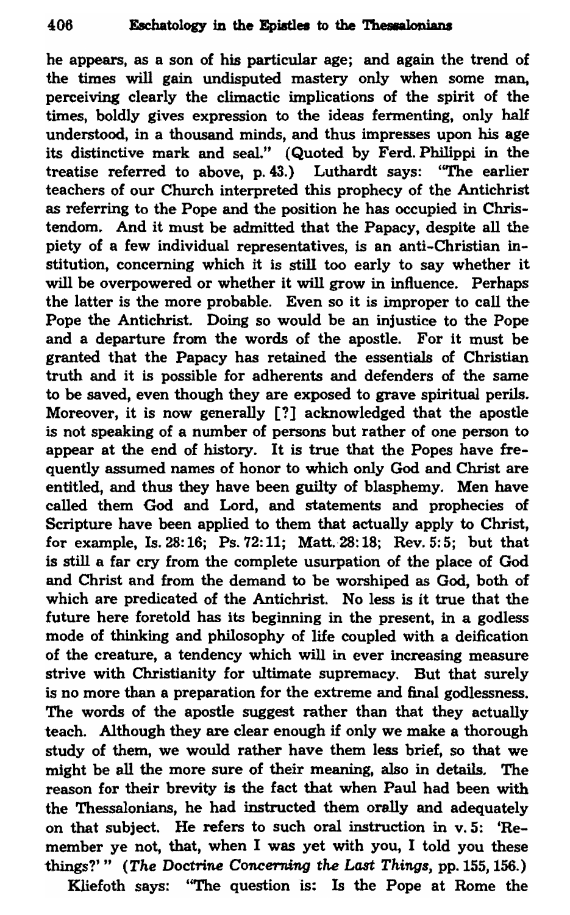he appears, as a son of his particular age; and again the trend of the times will gain undisputed mastery only when some man, perceiving clearly the climactic implications of the spirit of the times, boldly gives expression to the ideas fermenting, only half understood, in a thousand minds, and thus impresses upon his age its distinctive mark and seal." (Quoted by Ferd. Philippi in the treatise referred to above, p. 43.) Luthardt says: ''The earlier teachers of our Church interpreted this prophecy of the Antichrist as referring to the Pope and the position he has occupied in Christendom. And it must be admitted that the Papacy, despite all the piety of a few individual representatives, is an anti-Christian institution, concerning which it is still too early to say whether it will be overpowered or whether it will grow in influence. Perhaps the latter is the more probable. Even so it is improper to call the Pope the Antichrist. Doing so would be an injustice to the Pope and a departure from the words of the apostle. For it must be granted that the Papacy has retained the essentials of Christian truth and it is possible for adherents and defenders of the same to be saved, even though they are exposed to grave spiritual perils. Moreover, it is now generally [?] acknowledged that the apostle is not speaking of a number of persons but rather of one person to appear at the end of history. It is true that the Popes have frequently assumed names of honor to which only God and Christ are entitled, and thus they have been guilty of blasphemy. Men have called them God and Lord, and statements and prophecies of Scripture have been applied to them that actually apply to Christ, for example, Is. 28: 16; Ps. 72: 11; Matt. 28: 18; Rev. 5: 5; but that is still a far cry from the complete usurpation of the place of God and Christ and from the demand to be worshiped as God, both of which are predicated of the Antichrist. No less is it true that the future here foretold has its beginning in the present, in a godless mode of thinking and philosophy of life coupled with a deification of the creature, a tendency which will in ever increasing measure strive with Christianity for ultimate supremacy. But that surely is no more than a preparation for the extreme and final godlessness. The words of the apostle suggest rather than that they actually teach. Although they are clear enough if only we make a thorough study of them, we would rather have them less brief, so that we might be all the more sure of their meaning, also in details. The reason for their brevity is the fact that when Paul had been with the Thessalonians, he had instructed them orally and adequately on that subject. He refers to such oral instruction in v. 5: 'Remember ye not, that, when I was yet with you, I told you these things?'" (The Doctrine Concerning the Last Things, pp. 155, 156.)

Kliefoth says: "The question is: Is the Pope at Rome the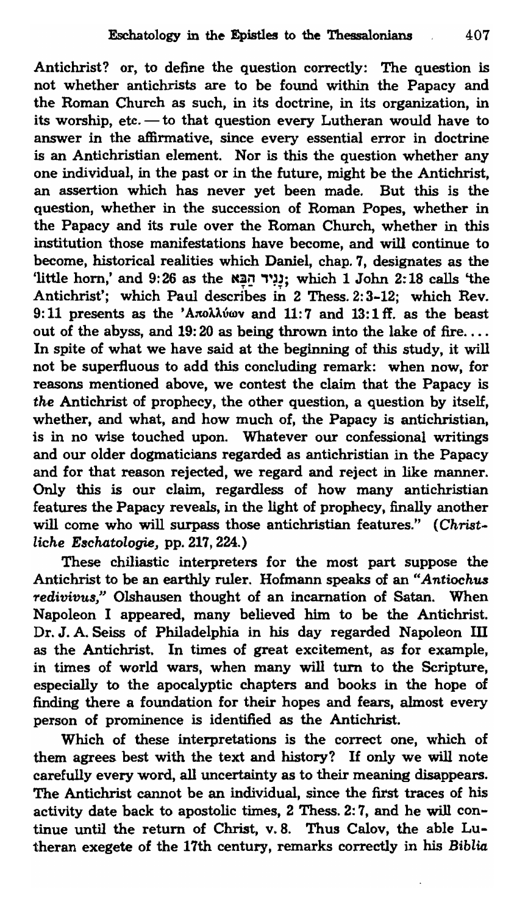Antichrist? or, to define the question correctly: The question is not whether antichrists are to be found within the Papacy and the Roman Church as such, in its doctrine, in its organization, in its worship, etc.  $-$  to that question every Lutheran would have to answer in the affirmative, since every essential error in doctrine is an Antichristian element. Nor is this the question whether any one individual, in the past or in the future, might be the Antichrist, an assertion which has never yet been made. But this is the question, whether in the succession of Roman Popes. whether in the Papacy and its rule over the Roman Church, whether in this institution those manifestations have become, and will continue to become, historical realities which Daniel, chap. 7, designates as the 'little horn,' and  $9:26$  as the  $\frac{1}{2}$ וניר הַבֵּא; which 1 John 2:18 calls 'the Antichrist'; which Paul describes in 2 Thess. 2: 3-12; which Rev. 9:11 presents as the 'Anolliwav and  $11:7$  and  $13:1$  ff. as the beast out of the abyss, and 19:20 as being thrown into the lake of fire.... In spite of what we have said at the beginning of this study, it will not be superfluous to add this concluding remark: when now, for reasons mentioned above, we contest the claim that the Papacy is *the* Antichrist of prophecy, the other question, a question by itself, whether, and what, and how much of, the Papacy is antichristian, is in no wise touched upon. Whatever our confessional writings and our older dogmaticians regarded as antichristian in the Papacy and for that reason rejected, we regard and reject in like manner. Only this is our claim, regardless of how many antichristian features the Papacy reveals, in the light of prophecy, finally another will come who will surpass those antichristian features." *(Christliche E8chatologie,* pp. 217, 224.)

These chiliastic interpreters for the most part suppose the Antichrist to be an earthly ruler. Hofmann speaks of an *"Antiochus Tedivivu8/'* Olshausen thought of an incarnation of Satan. When Napoleon I appeared, many believed him to be the Antichrist. Dr. J. A. Seiss of Philadelphia in his day regarded Napoleon III as the Antichrist. In times of great excitement, as for example, in times of world wars, when many will turn to the Scripture, especially to the apocalyptic chapters and books in the hope of finding there a foundation for their hopes and fears, almost every person of prominence is identified as the Antichrist.

Which of these interpretations is the correct one, which of them agrees best with the text and history? If only we will note carefully every word, all uncertainty as to their meaning disappears. The Antichrist cannot be an individual, since the first traces of his activity date back to apostolic times, 2 Thess. 2: 7, and he will continue until the return of Christ, v.8. Thus Calov, the able Lutheran exegete of the 17th century, remarks correctly in his *Biblia*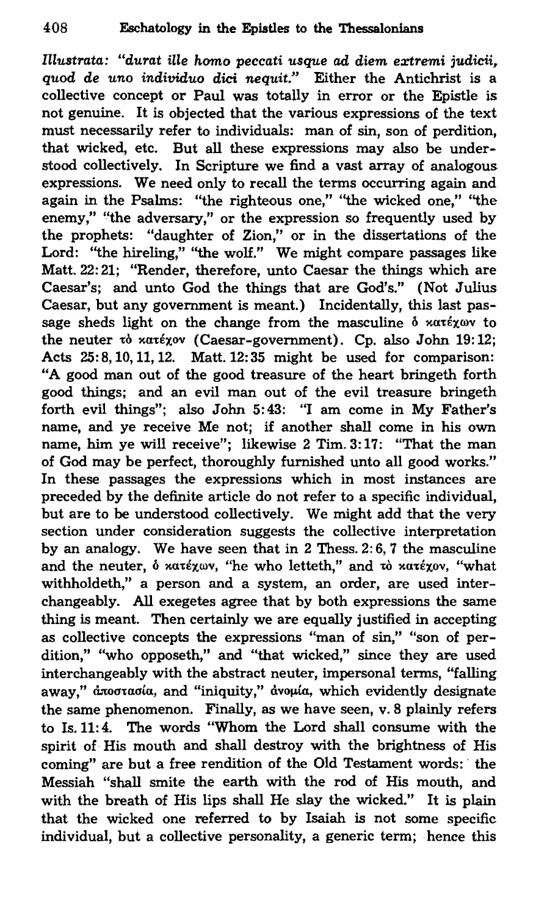*Illustrata: "du'l'at ille homo peccati usque ad diem ext'l'emi* judicii, *quod de uno individuo dici nequit."* Either the Antichrist is a collective concept or Paul was totally in error or the Epistle is not genuine. It is objected that the various expressions of the text must necessarily refer to individuals: man of sin, son of perdition, that wicked, etc. But all these expressions may also be understood collectively. In Scripture we find a vast array of analogous expressions. We need only to recall the terms occurring again and again in the Psalms: ''the righteous one," ''the wicked one," ''the enemy," "the adversary," or the expression so frequently used by the prophets: "daughter of Zion," or in the dissertations of the Lord: "the hireling," "the wolf." We might compare passages like Matt. 22: 21; "Render, therefore, unto Caesar the things which are Caesar's; and unto God the things that are God's." (Not Julius Caesar, but any government is meant.) Incidentally, this last passage sheds light on the change from the masculine  $\delta$  xatexwy to the neuter  $\mathbf{\dot{v}}$  xa $\mathbf{\dot{v}}$  (Caesar-government). Cp. also John 19:12; Acts 25: 8, 10, 11, 12. Matt. 12: 35 might be used for comparison: "A good man out of the good treasure of the heart bringeth forth good things; and an evil man out of the evil treasure bringeth forth evil things"; also John 5:43: "I am come in My Father's name, and ye receive Me not; if another shall come in his own name, him ye will receive"; likewise 2 Tim. 3:17: "That the man of God may be perfect, thoroughly furnished unto all good works." In these passages the expressions which in most instances are preceded by the definite article do not refer to a specific individual, but are to be understood collectively. We might add that the very section under consideration suggests the collective interpretation by an analogy. We have seen that in 2 Thess. 2: 6,7 the masculine and the neuter,  $\delta$  xatéxwv, "he who letteth," and to xutéxov, "what withholdeth," a person and a system, an order, are used interchangeably. All exegetes agree that by both expressions the same thing is meant. Then certainly we are equally justified in accepting as collective concepts the expressions "man of sin," "son of perdition," "who opposeth," and "that wicked," since they are used interchangeably with the abstract neuter, impersonal terms, "falling away," ἀποστασία, and "iniquity," ἀνομία, which evidently designate the same phenomenon. Finally, as we have seen, v. 8 plainly refers to Is. 11:4. The words "Whom the Lord shall consume with the spirit of His mouth and shall destroy with the brightness of His coming" are but a free rendition of the Old Testament words: ' the Messiah "shall smite the earth with the rod of His mouth, and with the breath of His lips shall He slay the wicked." It is plain that the wicked one referred to by Isaiah is not some specific individual, but a collective personality, a generic term; hence this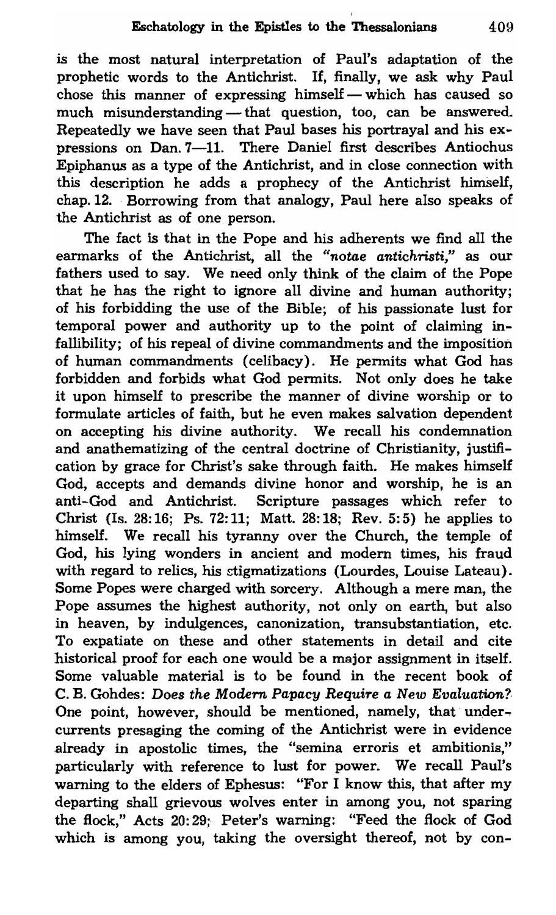is the most natural interpretation of Paul's adaptation of the prophetic words to the Antichrist. If, finally, we ask why Paul chose this manner of expressing himself - which has caused so much misunderstanding - that question, too, can be answered. Repeatedly we have seen that Paul bases his portrayal and his expressions on Dan. 7-11. There Daniel first describes Antiochus Epiphanus as a type of the Antichrist, and in close connection with this description he adds a prophecy of the Antichrist himself, chap. 12. Borrowing from that analogy, Paul here also speaks of the Antichrist as of one person.

The fact is that in the Pope and his adherents we find all the earmarks of the Antichrist, all the "notae antichristi," as our fathers used to say. We need only think of the claim of the Pope that he has the right to ignore all divine and human authority; of his forbidding the use of the Bible; of his passionate lust for temporal power and authority up to the point of claiming infallibility; of his repeal of divine commandments and the imposition of human commandments (celibacy). He pennits what God has forbidden and forbids what God pennits. Not only does he take it upon himself to prescribe the manner of divine worship or to formulate articles of faith, but he even makes salvation dependent on accepting his divine authority. We recall his condemnation and anathematizing of the central doctrine of Christianity, justification by grace for Christ's sake through faith. He makes himself God, accepts and demands divine honor and worship, he is an anti-God and Antichrist. Scripture passages which refer to Christ (Is. 28: 16; Ps. 72: 11; Matt. 28: 18; Rev. 5: 5) he applies to himself. We recall his tyranny over the Church, the temple of God, his lying wonders in ancient and modern times, his fraud with regard to relics, his stigmatizations (Lourdes, Louise Lateau). Some Popes were charged with sorcery. Although a mere man, the Pope assumes the highest authority, not only on earth, but also in heaven, by indulgences, canonization, transubstantiation, etc. To expatiate on these and other statements in detail and cite historical proof for each one would be a major assignment in itself. Some valuable material is to be found in the recent book of C. B. Gohdes: *Does the Modern Papacy Require a New Evaluation?*  One point, however, should be mentioned, namely, that undercurrents presaging the coming of the Antichrist were in evidence already in apostolic times, the "semina erroris et ambitionis," particularly with reference to lust for power. We recall Paul's warning to the elders of Ephesus: "For I know this, that after my departing shall grievous wolves enter in among you, not sparing the flock," Acts 20: 29; Peter's warning: "Feed the flock of God which is among you, taking the oversight thereof, not by con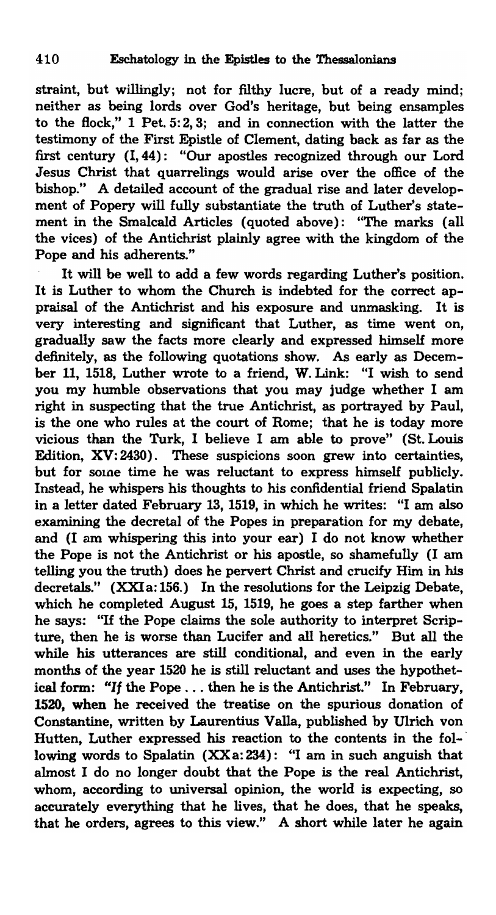straint, but willingly; not for filthy lucre, but of a ready mind; neither as being lords over God's heritage, but being ensamples to the Bock," 1 Pet. 5: 2, 3; and in connection with the latter the testimony of the First Epistle of Clement, dating back as far as the first century (1,44): "Our apostles recognized through our Lord Jesus Christ that quarrelings would arise over the office of the bishop." A detailed account of the gradual rise and later development of Popery will fully substantiate the truth of Luther's statement in the Smalcald Articles (quoted above): "The marks (all the vices) of the Antichrist plainly agree with the kingdom of the Pope and his adherents."

It will be well to add a few words regarding Luther's position. It is Luther to whom the Church is indebted for the correct appraisal of the Antichrist and his exposure and unmasking. It is very interesting and significant that Luther, as time went on, gradually saw the facts more clearly and expressed himself more definitely, as the following quotations show. As early as December 11, 1518, Luther wrote to a friend, W. Link: "I wish to send you my humble observations that you may judge whether I am right in suspecting that the true Antichrist, as portrayed by Paul, is the one who rules at the court of Rome; that he is today more vicious than the Turk, I believe I am able to prove" (St. Louis Edition, XV: 2430). These suspicions soon grew into certainties, but for some time he was reluctant to express himself publicly, Instead, he whispers his thoughts to his confidential friend Spalatin in a letter dated February 13, 1519, in which he writes: "I am also examining the decretal of the Popes in preparation for my debate, and (I am whispering this into your ear) I do not know whether the Pope is not the Antichrist or his apostle, so shamefully (I am telling you the truth) does he pervert Christ and crucify Him in his decretals." (XXI a: 156.) In the resolutions for the Leipzig Debate, which he completed August 15, 1519, he goes a step farther when he says: "If the Pope claims the sole authority to interpret Scripture, then he is worse than Lucifer and all heretics." But all the while his utterances are still conditional, and even in the early months of the year 1520 he is still reluctant and uses the hypothetical form: "If the Pope. , . then he is the Antichrist." In February, 1520, when he received the treatise on the spurious donation of Constantine, written by Laurentius Valla, published by Ulrich von Hutten, Luther expressed his reaction to the contents in the fol-· lowing words to Spalatin (XXa: 234): "I am in such anguish that almost I do no longer doubt that the Pope is the real Antichrist, whom, according to universal opinion, the world is expecting, so accurately everything that he lives, that he does, that he speaks, that he orders, agrees to this view." A short while later he again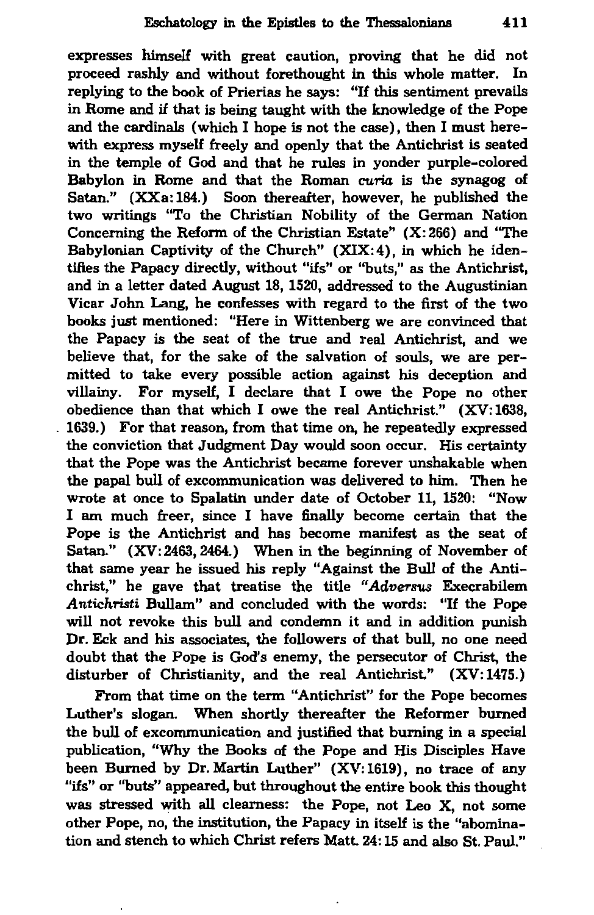expresses himself with great caution, proving that he did not proceed rashly and without forethought in this whole matter. In replying to the book of Prierias he says: "If this sentiment prevails in Rome and if that is being taught with the knowledge of the Pope and the cardinals (which I hope is not the case), then I must herewith express myself freely and openly that the Antichrist is seated in the temple of God and that he rules in yonder purple-colored Babylon in Rome and that the Roman curia is the synagog of Satan." (XXa: 184.) Soon thereafter, however, he published the two writings "To the Christian Nobility of the German Nation Concerning the Reform of the Christian Estate" (X: 266) and "The Babylonian Captivity of the Church" (XIX:4), in which he identifies the Papacy directly, without "ifs" or "buts," as the Antichrist, and in a letter dated August 18, 1520, addressed to the Augustinian Vicar John Lang, he confesses with regard to the first of the two books just mentioned: "Here in Wittenberg we are convinced that the Papacy is the seat of the true and real Antichrist, and we believe that, for the sake of the salvation of souls, we are permitted to take every possible action against his deception and villainy. For myself, I declare that I owe the Pope no other obedience than that which lowe the real Antichrist." (XV: 1638, . 1639.) For that reason, from that time on, he repeatedly expressed the conviction that Judgment Day would soon occur. His certainty that the Pope was the Antichrist became forever unshakable when the papal bull of excommunication was delivered to him. Then he wrote at once to Spalatin under date of October 11, 1520: "Now I am much freer, since I have finally become certain that the Pope is the Antichrist and has become manifest as the seat of Satan." (XV: 2463, 2464.) When in the beginning of November of that same year he issued his reply "Against the Bull of the Antichrist," he gave that treatise the title *"Adversus* Execrabilem Antichristi Bullam" and concluded with the words: "If the Pope will not revoke this bull and condemn it and in addition punish Dr. Eck and his associates, the followers of that bull, no one need doubt that the Pope is God's enemy, the persecutor of Christ, the disturber of Christianity, and the real Antichrist." (XV:1475.)

From that time on the term "Antichrist" for the Pope becomes Luther's slogan. When shortly thereafter the Reformer burned the bull of excommunication and justified that burning in a special publication, "Why the Books of the Pope and His Disciples Have been Burned by Dr. Martin Luther" (XV:1619), no trace of any "ifs" or "buts" appeared, but throughout the entire book this thought was stressed with all clearness: the Pope, not Leo X, not some other Pope, no, the institution, the Papacy in itself is the "abomination and stench to which Christ refers Matt. 24: 15 and also St. Paul."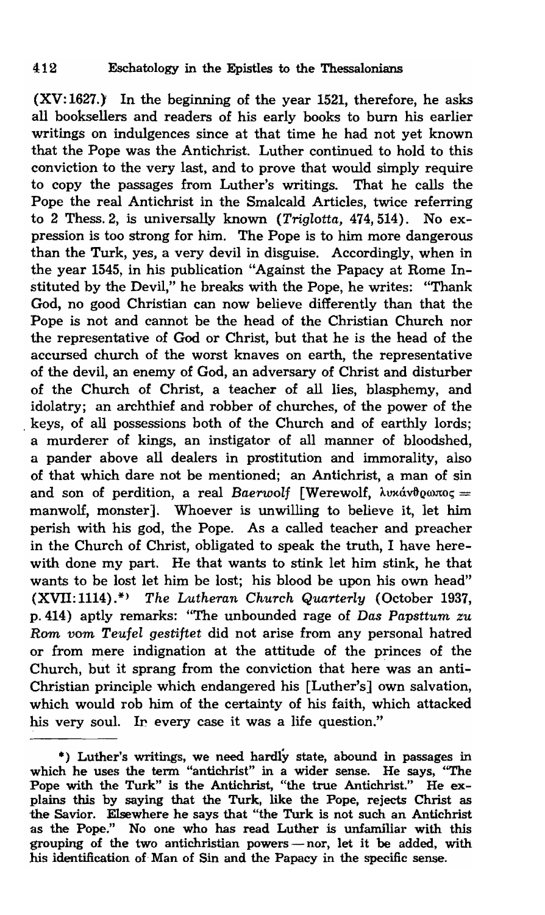(XV:1627.) In the beginning of the year 1521, therefore, he asks all booksellers and readers of his early books to burn his earlier writings on indulgences since at that time he had not yet known that the Pope was the Antichrist. Luther continued to hold to this conviction to the very last, and to prove that would simply require to copy the passages from Luther's writings. That he calls the Pope the real Antichrist in the Smalcald Articles, twice referring to 2 Thess.2, is universally known *(Triglotta,* 474,514). No expression is too strong for him. The Pope is to him more dangerous than the Turk, yes, a very devil in disguise. Accordingly, when in the year 1545, in his publication "Against the Papacy at Rome Instituted by the Devil," he breaks with the Pope, he writes: "Thank God, no good Christian can now believe differently than that the Pope is not and cannot be the head of the Christian Church nor the representative of God or Christ, but that he is the head of the accursed church of the worst knaves on earth, the representative of the devil, an enemy of God, an adversary of Christ and disturber of the Church of Christ, a teacher of all lies, blasphemy, and idolatry; an archthief and robber of churches, of the power of the keys, of all possessions both of the Church and of earthly lords; a murderer of kings, an instigator of all manner of bloodshed, a pander above all dealers in prostitution and immorality, also of that which dare not be mentioned; an Antichrist, a man of sin and son of perdition, a real *Baerwolf* [Werewolf,  $\lambda v \times \hat{v} \times \hat{v} = 0$ manwolf, monster]. Whoever is unwilling to believe it, let him perish with his god, the Pope. As a called teacher and preacher in the Church of Christ, obligated to speak the truth, I have herewith done my part. He that wants to stink let him stink, he that wants to be lost let him be lost; his blood be upon his own head" (XVII: 1114).\*} *The Lutheran Church Quarterly* (October 1937, p.414) aptly remarks: "The unbounded rage of *Das Papsttum zu*  Rom *vom Teufel gestiftet* did not arise from any personal hatred or from mere indignation at the attitude of the princes of the Church, but it sprang from the conviction that here was an anti-Christian principle which endangered his [Luther's] own salvation, which would rob him of the certainty of his faith, which attacked his very soul. In every case it was a life question."

<sup>\*)</sup> Luther's writings, we need hardly state, abound in passages in which he uses the term "antichrist" in a wider sense. He says, ''The Pope with the Turk" is the Antichrist, "the true Antichrist." He explains this by saying that the Turk, like the Pope, rejects Christ as the Savior. Elsewhere he says that "the Turk is not such an Antichrist as the Pope." No one who has read Luther is unfamiliar with this grouping of the two antichristian powers - nor, let it be added, with his identification of Man of Sin and the Papacy in the specific sense.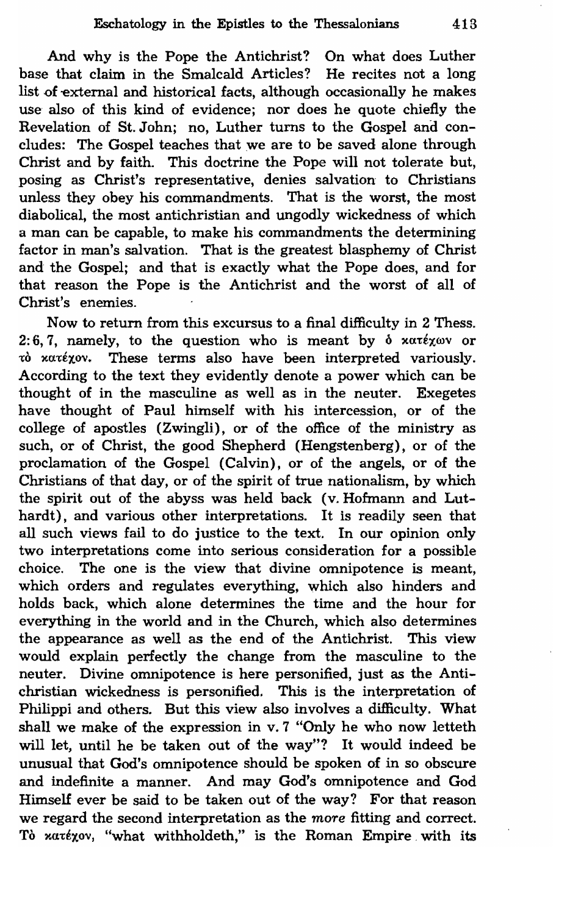And why is the Pope the Antichrist? On what does Luther base that claim in the Smalcald Articles? He recites not a long list of external and historical facts, although occasionally he makes use also of this kind of evidence; nor does he quote chiefly the Revelation of St. John; no, Luther turns to the Gospel and concludes: The Gospel teaches that we are to be saved alone through Christ and by faith. This doctrine the Pope will not tolerate but, posing as Christ's representative, denies salvation to Christians unless they obey his commandments. That is the worst, the most diabolical, the most antichristian and ungodly wickedness of which a man can be capable, to make his commandments the determining factor in man's salvation. That is the greatest blasphemy of Christ and the Gospel; and that is exactly what the Pope does, and for that reason the Pope is the Antichrist and the worst of all of Christ's enemies.

Now to return from this excursus to a final difficulty in 2 Thess. 2: 6, 7, namely, to the question who is meant by  $\delta$  xaréxav or τό κατέχον. These terms also have been interpreted variously. According to the text they evidently denote a power which can be thought of in the masculine as well as in the neuter. Exegetes have thought of Paul himself with his intercession, or of the college of apostles (Zwingli), or of the office of the ministry as such, or of Christ, the good Shepherd (Hengstenberg), or of the proclamation of the Gospel (Calvin), or of the angels, or of the Christians of that day, or of the spirit of true nationalism, by which the spirit out of the abyss was held back (v. Hofmann and Luthardt), and various other interpretations. It is readily seen that all such views fail to do justice to the text. In our opinion only two interpretations come into serious consideration for a possible choice. The one is the view that divine omnipotence is meant, which orders and regulates everything, which also hinders and holds back, which alone determines the time and the hour for everything in the world and in the Church, which also determines the appearance as well as the end of the Antichrist. This view would explain perfectly the change from the masculine to the neuter. Divine omnipotence is here personified, just as the Antichristian wickedness is personified. This is the interpretation of Philippi and others. But this view also involves a difficulty. What shall we make of the expression in v. 7 "Only he who now letteth will let, until he be taken out of the way"? It would indeed be unusual that God's omnipotence should be spoken of in so obscure and indefinite a manner. And may God's omnipotence and God Himself ever be said to be taken out of the way? For that reason we regard the second interpretation as the *more* fitting and correct. Tò xatexov, "what withholdeth," is the Roman Empire with its